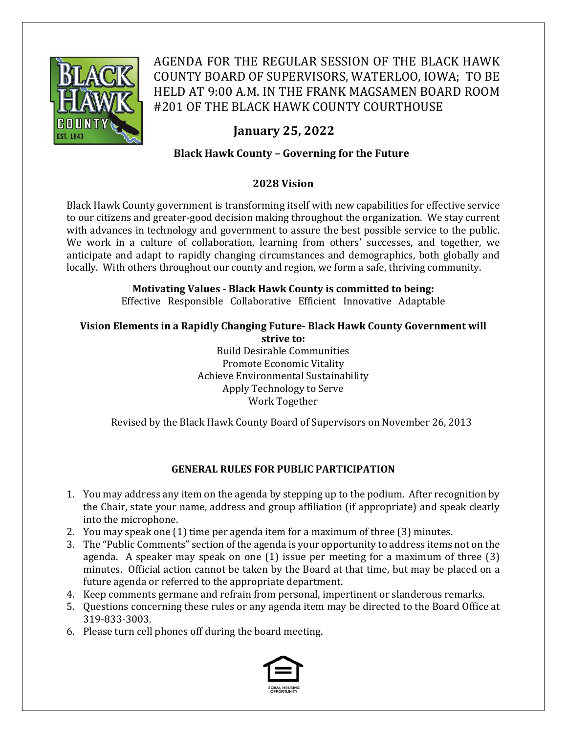

AGENDA FOR THE REGULAR SESSION OF THE BLACK HAWK COUNTY BOARD OF SUPERVISORS, WATERLOO, IOWA; TO BE HELD AT 9:00 A.M. IN THE FRANK MAGSAMEN BOARD ROOM #201 OF THE BLACK HAWK COUNTY COURTHOUSE

# **January 25, 2022**

# **Black Hawk County – Governing for the Future**

# **2028 Vision**

Black Hawk County government is transforming itself with new capabilities for effective service to our citizens and greater-good decision making throughout the organization. We stay current with advances in technology and government to assure the best possible service to the public. We work in a culture of collaboration, learning from others' successes, and together, we anticipate and adapt to rapidly changing circumstances and demographics, both globally and locally. With others throughout our county and region, we form a safe, thriving community.

# **Motivating Values ‐ Black Hawk County is committed to being:**

Effective Responsible Collaborative Efficient Innovative Adaptable

#### **Vision Elements in a Rapidly Changing Future‐ Black Hawk County Government will strive to:**

Build Desirable Communities Promote Economic Vitality Achieve Environmental Sustainability Apply Technology to Serve Work Together

Revised by the Black Hawk County Board of Supervisors on November 26, 2013

## **GENERAL RULES FOR PUBLIC PARTICIPATION**

- 1. You may address any item on the agenda by stepping up to the podium. After recognition by the Chair, state your name, address and group affiliation (if appropriate) and speak clearly into the microphone.
- 2. You may speak one (1) time per agenda item for a maximum of three (3) minutes.
- 3. The "Public Comments" section of the agenda is your opportunity to address items not on the agenda. A speaker may speak on one (1) issue per meeting for a maximum of three (3) minutes. Official action cannot be taken by the Board at that time, but may be placed on a future agenda or referred to the appropriate department.
- 4. Keep comments germane and refrain from personal, impertinent or slanderous remarks.
- 5. Questions concerning these rules or any agenda item may be directed to the Board Office at 319-833-3003.
- 6. Please turn cell phones off during the board meeting.

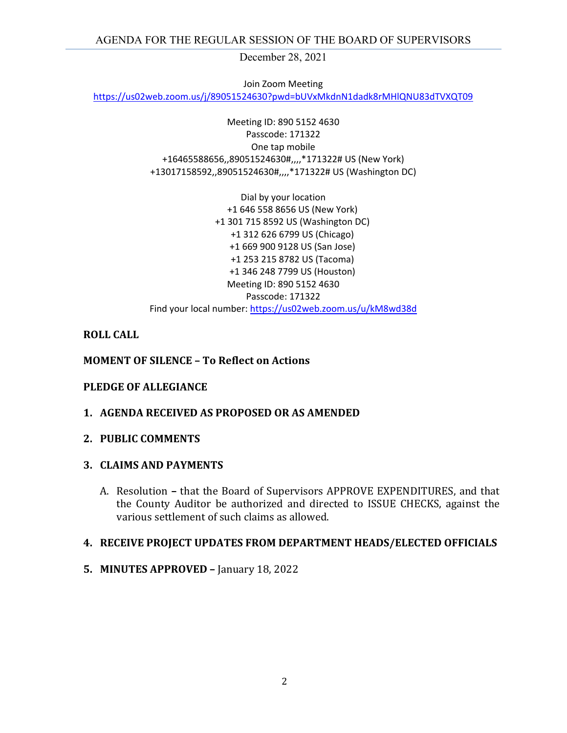December 28, 2021

Join Zoom Meeting

https://us02web.zoom.us/j/89051524630?pwd=bUVxMkdnN1dadk8rMHlQNU83dTVXQT09

Meeting ID: 890 5152 4630 Passcode: 171322 One tap mobile +16465588656,,89051524630#,,,,\*171322# US (New York) +13017158592,,89051524630#,,,,\*171322# US (Washington DC)

Dial by your location +1 646 558 8656 US (New York) +1 301 715 8592 US (Washington DC) +1 312 626 6799 US (Chicago) +1 669 900 9128 US (San Jose) +1 253 215 8782 US (Tacoma) +1 346 248 7799 US (Houston) Meeting ID: 890 5152 4630 Passcode: 171322 Find your local number: https://us02web.zoom.us/u/kM8wd38d

#### **ROLL CALL**

#### **MOMENT OF SILENCE – To Reflect on Actions**

#### **PLEDGE OF ALLEGIANCE**

**1. AGENDA RECEIVED AS PROPOSED OR AS AMENDED**

#### **2. PUBLIC COMMENTS**

#### **3. CLAIMS AND PAYMENTS**

A. Resolution **–** that the Board of Supervisors APPROVE EXPENDITURES, and that the County Auditor be authorized and directed to ISSUE CHECKS, against the various settlement of such claims as allowed.

#### **4. RECEIVE PROJECT UPDATES FROM DEPARTMENT HEADS/ELECTED OFFICIALS**

**5. MINUTES APPROVED –** January 18, 2022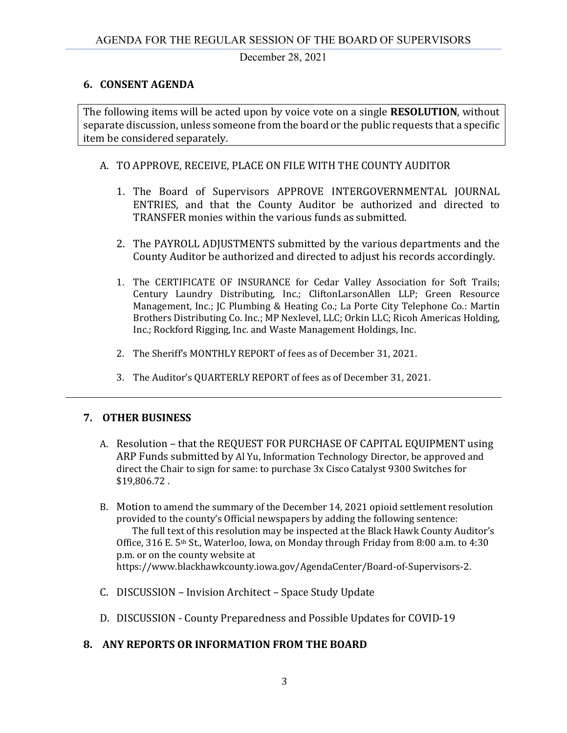December 28, 2021

## **6. CONSENT AGENDA**

The following items will be acted upon by voice vote on a single **RESOLUTION**, without separate discussion, unless someone from the board or the public requests that a specific item be considered separately.

## A. TO APPROVE, RECEIVE, PLACE ON FILE WITH THE COUNTY AUDITOR

- 1. The Board of Supervisors APPROVE INTERGOVERNMENTAL JOURNAL ENTRIES, and that the County Auditor be authorized and directed to TRANSFER monies within the various funds as submitted.
- 2. The PAYROLL ADJUSTMENTS submitted by the various departments and the County Auditor be authorized and directed to adjust his records accordingly.
- 1. The CERTIFICATE OF INSURANCE for Cedar Valley Association for Soft Trails; Century Laundry Distributing, Inc.; CliftonLarsonAllen LLP; Green Resource Management, Inc.; JC Plumbing & Heating Co.; La Porte City Telephone Co.: Martin Brothers Distributing Co. Inc.; MP Nexlevel, LLC; Orkin LLC; Ricoh Americas Holding, Inc.; Rockford Rigging, Inc. and Waste Management Holdings, Inc.
- 2. The Sheriff's MONTHLY REPORT of fees as of December 31, 2021.
- 3. The Auditor's QUARTERLY REPORT of fees as of December 31, 2021.

## **7. OTHER BUSINESS**

- A. Resolution that the REQUEST FOR PURCHASE OF CAPITAL EQUIPMENT using ARP Funds submitted by Al Yu, Information Technology Director, be approved and direct the Chair to sign for same: to purchase 3x Cisco Catalyst 9300 Switches for \$19,806.72 .
- B. Motion to amend the summary of the December 14, 2021 opioid settlement resolution provided to the county's Official newspapers by adding the following sentence: The full text of this resolution may be inspected at the Black Hawk County Auditor's Office, 316 E. 5<sup>th</sup> St., Waterloo, Iowa, on Monday through Friday from 8:00 a.m. to  $4:30$ p.m. or on the county website at https://www.blackhawkcounty.iowa.gov/AgendaCenter/Board-of-Supervisors-2.
- C. DISCUSSION Invision Architect Space Study Update
- D. DISCUSSION County Preparedness and Possible Updates for COVID-19

### **8. ANY REPORTS OR INFORMATION FROM THE BOARD**